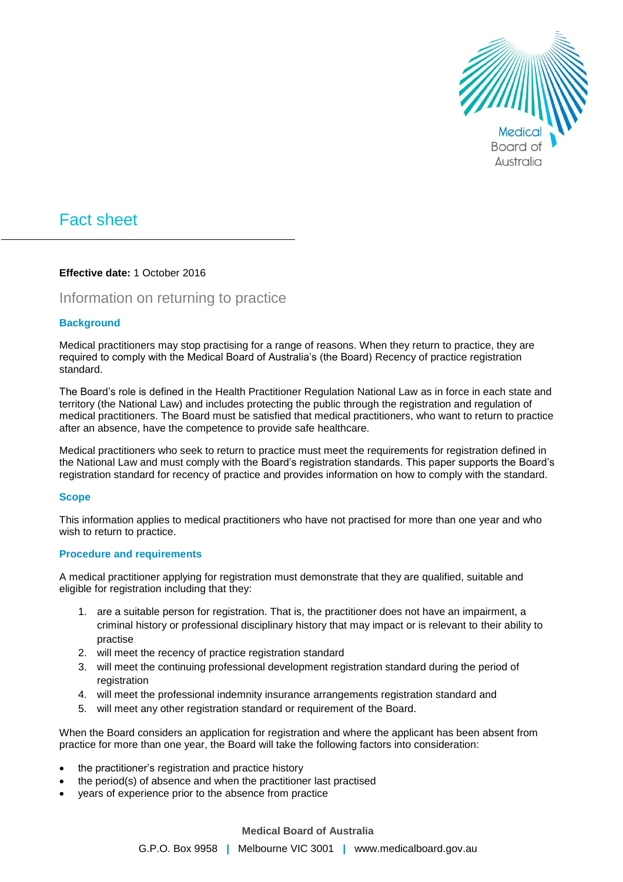

# Fact sheet

# **Effective date:** 1 October 2016

# Information on returning to practice

# **Background**

Medical practitioners may stop practising for a range of reasons. When they return to practice, they are required to comply with the Medical Board of Australia's (the Board) Recency of practice registration standard.

The Board's role is defined in the Health Practitioner Regulation National Law as in force in each state and territory (the National Law) and includes protecting the public through the registration and regulation of medical practitioners. The Board must be satisfied that medical practitioners, who want to return to practice after an absence, have the competence to provide safe healthcare.

Medical practitioners who seek to return to practice must meet the requirements for registration defined in the National Law and must comply with the Board's registration standards. This paper supports the Board's registration standard for recency of practice and provides information on how to comply with the standard.

# **Scope**

This information applies to medical practitioners who have not practised for more than one year and who wish to return to practice.

# **Procedure and requirements**

A medical practitioner applying for registration must demonstrate that they are qualified, suitable and eligible for registration including that they:

- 1. are a suitable person for registration. That is, the practitioner does not have an impairment, a criminal history or professional disciplinary history that may impact or is relevant to their ability to practise
- 2. will meet the recency of practice registration standard
- 3. will meet the continuing professional development registration standard during the period of registration
- 4. will meet the professional indemnity insurance arrangements registration standard and
- 5. will meet any other registration standard or requirement of the Board.

When the Board considers an application for registration and where the applicant has been absent from practice for more than one year, the Board will take the following factors into consideration:

- the practitioner's registration and practice history
- the period(s) of absence and when the practitioner last practised
- years of experience prior to the absence from practice

# **Medical Board of Australia**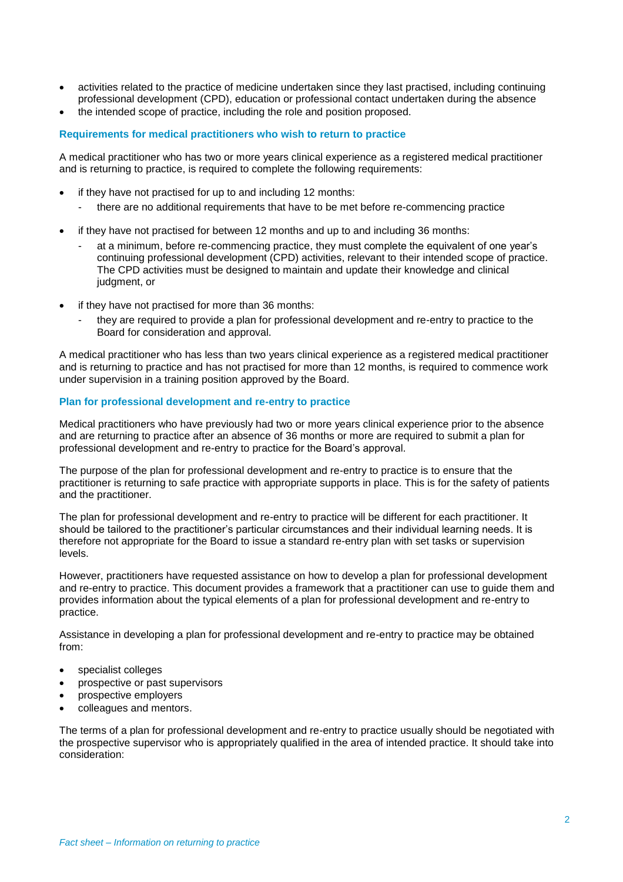- activities related to the practice of medicine undertaken since they last practised, including continuing professional development (CPD), education or professional contact undertaken during the absence
- the intended scope of practice, including the role and position proposed.

#### **Requirements for medical practitioners who wish to return to practice**

A medical practitioner who has two or more years clinical experience as a registered medical practitioner and is returning to practice, is required to complete the following requirements:

- if they have not practised for up to and including 12 months:
	- there are no additional requirements that have to be met before re-commencing practice
- if they have not practised for between 12 months and up to and including 36 months:
	- at a minimum, before re-commencing practice, they must complete the equivalent of one year's continuing professional development (CPD) activities, relevant to their intended scope of practice. The CPD activities must be designed to maintain and update their knowledge and clinical judgment, or
- if they have not practised for more than 36 months:
	- they are required to provide a plan for professional development and re-entry to practice to the Board for consideration and approval.

A medical practitioner who has less than two years clinical experience as a registered medical practitioner and is returning to practice and has not practised for more than 12 months, is required to commence work under supervision in a training position approved by the Board.

# **Plan for professional development and re-entry to practice**

Medical practitioners who have previously had two or more years clinical experience prior to the absence and are returning to practice after an absence of 36 months or more are required to submit a plan for professional development and re-entry to practice for the Board's approval.

The purpose of the plan for professional development and re-entry to practice is to ensure that the practitioner is returning to safe practice with appropriate supports in place. This is for the safety of patients and the practitioner.

The plan for professional development and re-entry to practice will be different for each practitioner. It should be tailored to the practitioner's particular circumstances and their individual learning needs. It is therefore not appropriate for the Board to issue a standard re-entry plan with set tasks or supervision levels.

However, practitioners have requested assistance on how to develop a plan for professional development and re-entry to practice. This document provides a framework that a practitioner can use to guide them and provides information about the typical elements of a plan for professional development and re-entry to practice.

Assistance in developing a plan for professional development and re-entry to practice may be obtained from:

- specialist colleges
- prospective or past supervisors
- prospective employers
- colleagues and mentors.

The terms of a plan for professional development and re-entry to practice usually should be negotiated with the prospective supervisor who is appropriately qualified in the area of intended practice. It should take into consideration: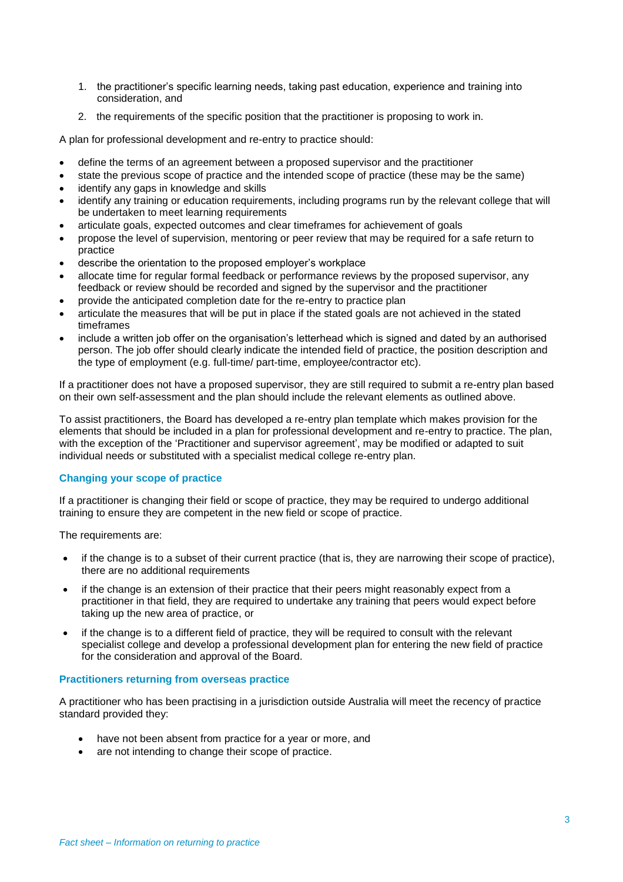- 1. the practitioner's specific learning needs, taking past education, experience and training into consideration, and
- 2. the requirements of the specific position that the practitioner is proposing to work in.

A plan for professional development and re-entry to practice should:

- define the terms of an agreement between a proposed supervisor and the practitioner
- state the previous scope of practice and the intended scope of practice (these may be the same) identify any gaps in knowledge and skills
- 
- identify any training or education requirements, including programs run by the relevant college that will be undertaken to meet learning requirements
- articulate goals, expected outcomes and clear timeframes for achievement of goals
- propose the level of supervision, mentoring or peer review that may be required for a safe return to practice
- describe the orientation to the proposed employer's workplace
- allocate time for regular formal feedback or performance reviews by the proposed supervisor, any feedback or review should be recorded and signed by the supervisor and the practitioner
- provide the anticipated completion date for the re-entry to practice plan
- articulate the measures that will be put in place if the stated goals are not achieved in the stated timeframes
- include a written job offer on the organisation's letterhead which is signed and dated by an authorised person. The job offer should clearly indicate the intended field of practice, the position description and the type of employment (e.g. full-time/ part-time, employee/contractor etc).

If a practitioner does not have a proposed supervisor, they are still required to submit a re-entry plan based on their own self-assessment and the plan should include the relevant elements as outlined above.

To assist practitioners, the Board has developed a re-entry plan template which makes provision for the elements that should be included in a plan for professional development and re-entry to practice. The plan, with the exception of the 'Practitioner and supervisor agreement', may be modified or adapted to suit individual needs or substituted with a specialist medical college re-entry plan.

# **Changing your scope of practice**

If a practitioner is changing their field or scope of practice, they may be required to undergo additional training to ensure they are competent in the new field or scope of practice.

The requirements are:

- if the change is to a subset of their current practice (that is, they are narrowing their scope of practice), there are no additional requirements
- if the change is an extension of their practice that their peers might reasonably expect from a practitioner in that field, they are required to undertake any training that peers would expect before taking up the new area of practice, or
- if the change is to a different field of practice, they will be required to consult with the relevant specialist college and develop a professional development plan for entering the new field of practice for the consideration and approval of the Board.

# **Practitioners returning from overseas practice**

A practitioner who has been practising in a jurisdiction outside Australia will meet the recency of practice standard provided they:

- have not been absent from practice for a year or more, and
- are not intending to change their scope of practice.